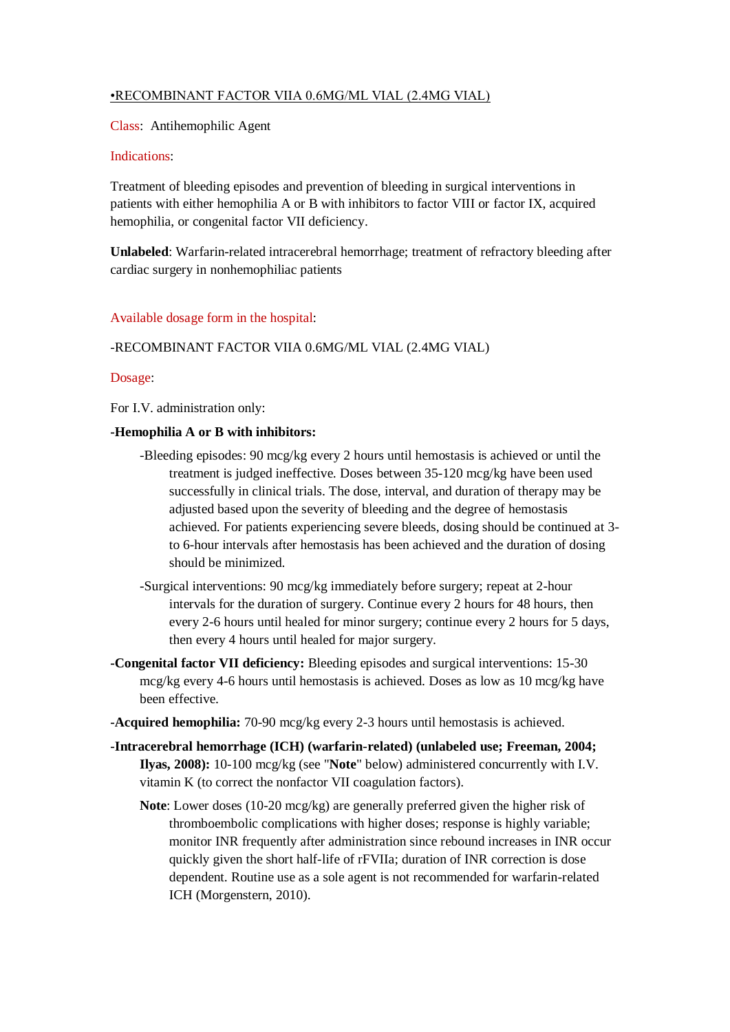# •RECOMBINANT FACTOR VIIA 0.6MG/ML VIAL (2.4MG VIAL)

Class: Antihemophilic Agent

## Indications:

Treatment of bleeding episodes and prevention of bleeding in surgical interventions in patients with either hemophilia A or B with inhibitors to factor VIII or factor IX, acquired hemophilia, or congenital factor VII deficiency.

**Unlabeled**: Warfarin-related intracerebral hemorrhage; treatment of refractory bleeding after cardiac surgery in nonhemophiliac patients

## Available dosage form in the hospital:

# -RECOMBINANT FACTOR VIIA 0.6MG/ML VIAL (2.4MG VIAL)

## Dosage:

For I.V. administration only:

## **-Hemophilia A or B with inhibitors:**

- -Bleeding episodes: 90 mcg/kg every 2 hours until hemostasis is achieved or until the treatment is judged ineffective. Doses between 35-120 mcg/kg have been used successfully in clinical trials. The dose, interval, and duration of therapy may be adjusted based upon the severity of bleeding and the degree of hemostasis achieved. For patients experiencing severe bleeds, dosing should be continued at 3 to 6-hour intervals after hemostasis has been achieved and the duration of dosing should be minimized.
- -Surgical interventions: 90 mcg/kg immediately before surgery; repeat at 2-hour intervals for the duration of surgery. Continue every 2 hours for 48 hours, then every 2-6 hours until healed for minor surgery; continue every 2 hours for 5 days, then every 4 hours until healed for major surgery.
- **-Congenital factor VII deficiency:** Bleeding episodes and surgical interventions: 15-30 mcg/kg every 4-6 hours until hemostasis is achieved. Doses as low as 10 mcg/kg have been effective.
- **-Acquired hemophilia:** 70-90 mcg/kg every 2-3 hours until hemostasis is achieved.
- **-Intracerebral hemorrhage (ICH) (warfarin-related) (unlabeled use; Freeman, 2004; Ilyas, 2008):** 10-100 mcg/kg (see "**Note**" below) administered concurrently with I.V. vitamin K (to correct the nonfactor VII coagulation factors).
	- **Note**: Lower doses (10-20 mcg/kg) are generally preferred given the higher risk of thromboembolic complications with higher doses; response is highly variable; monitor INR frequently after administration since rebound increases in INR occur quickly given the short half-life of rFVIIa; duration of INR correction is dose dependent. Routine use as a sole agent is not recommended for warfarin-related ICH (Morgenstern, 2010).